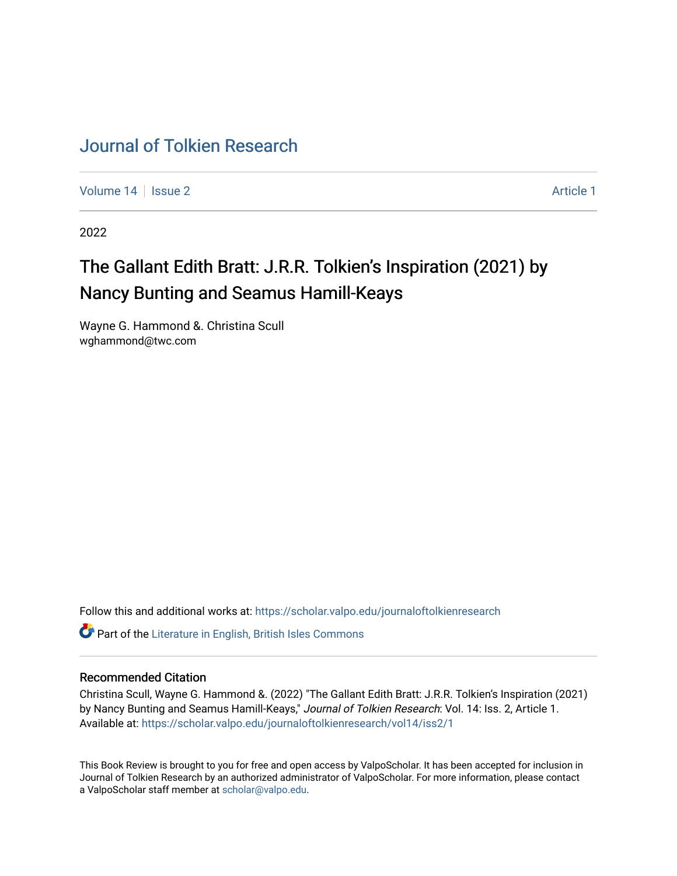## [Journal of Tolkien Research](https://scholar.valpo.edu/journaloftolkienresearch)

[Volume 14](https://scholar.valpo.edu/journaloftolkienresearch/vol14) | [Issue 2](https://scholar.valpo.edu/journaloftolkienresearch/vol14/iss2) [Article 1](https://scholar.valpo.edu/journaloftolkienresearch/vol14/iss2/1) | Article 1 | Article 1 | Article 1 | Article 1 | Article 1 | Article 1 | Article 1 | Article 1 | Article 1 | Article 1 | Article 1 | Article 1 | Article 1 | Article 1 | Article 1 | Article 1

2022

## The Gallant Edith Bratt: J.R.R. Tolkien's Inspiration (2021) by Nancy Bunting and Seamus Hamill-Keays

Wayne G. Hammond &. Christina Scull wghammond@twc.com

Follow this and additional works at: [https://scholar.valpo.edu/journaloftolkienresearch](https://scholar.valpo.edu/journaloftolkienresearch?utm_source=scholar.valpo.edu%2Fjournaloftolkienresearch%2Fvol14%2Fiss2%2F1&utm_medium=PDF&utm_campaign=PDFCoverPages) 

**C** Part of the [Literature in English, British Isles Commons](http://network.bepress.com/hgg/discipline/456?utm_source=scholar.valpo.edu%2Fjournaloftolkienresearch%2Fvol14%2Fiss2%2F1&utm_medium=PDF&utm_campaign=PDFCoverPages)

## Recommended Citation

Christina Scull, Wayne G. Hammond &. (2022) "The Gallant Edith Bratt: J.R.R. Tolkien's Inspiration (2021) by Nancy Bunting and Seamus Hamill-Keays," Journal of Tolkien Research: Vol. 14: Iss. 2, Article 1. Available at: [https://scholar.valpo.edu/journaloftolkienresearch/vol14/iss2/1](https://scholar.valpo.edu/journaloftolkienresearch/vol14/iss2/1?utm_source=scholar.valpo.edu%2Fjournaloftolkienresearch%2Fvol14%2Fiss2%2F1&utm_medium=PDF&utm_campaign=PDFCoverPages) 

This Book Review is brought to you for free and open access by ValpoScholar. It has been accepted for inclusion in Journal of Tolkien Research by an authorized administrator of ValpoScholar. For more information, please contact a ValpoScholar staff member at [scholar@valpo.edu](mailto:scholar@valpo.edu).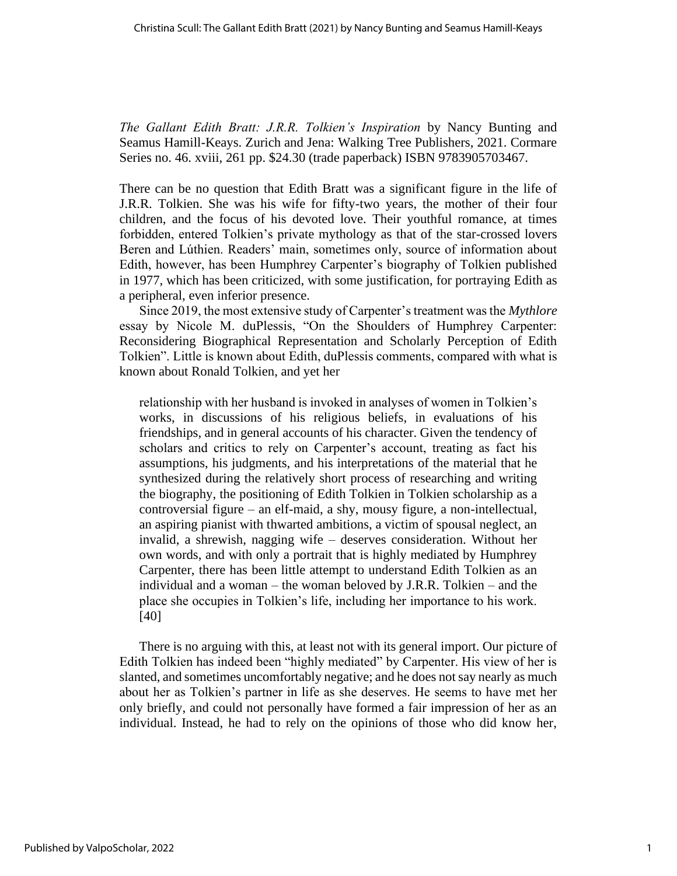*The Gallant Edith Bratt: J.R.R. Tolkien's Inspiration* by Nancy Bunting and Seamus Hamill-Keays. Zurich and Jena: Walking Tree Publishers, 2021. Cormare Series no. 46. xviii, 261 pp. \$24.30 (trade paperback) ISBN 9783905703467.

There can be no question that Edith Bratt was a significant figure in the life of J.R.R. Tolkien. She was his wife for fifty-two years, the mother of their four children, and the focus of his devoted love. Their youthful romance, at times forbidden, entered Tolkien's private mythology as that of the star-crossed lovers Beren and Lúthien. Readers' main, sometimes only, source of information about Edith, however, has been Humphrey Carpenter's biography of Tolkien published in 1977, which has been criticized, with some justification, for portraying Edith as a peripheral, even inferior presence.

Since 2019, the most extensive study of Carpenter's treatment was the *Mythlore* essay by Nicole M. duPlessis, "On the Shoulders of Humphrey Carpenter: Reconsidering Biographical Representation and Scholarly Perception of Edith Tolkien". Little is known about Edith, duPlessis comments, compared with what is known about Ronald Tolkien, and yet her

relationship with her husband is invoked in analyses of women in Tolkien's works, in discussions of his religious beliefs, in evaluations of his friendships, and in general accounts of his character. Given the tendency of scholars and critics to rely on Carpenter's account, treating as fact his assumptions, his judgments, and his interpretations of the material that he synthesized during the relatively short process of researching and writing the biography, the positioning of Edith Tolkien in Tolkien scholarship as a controversial figure – an elf-maid, a shy, mousy figure, a non-intellectual, an aspiring pianist with thwarted ambitions, a victim of spousal neglect, an invalid, a shrewish, nagging wife – deserves consideration. Without her own words, and with only a portrait that is highly mediated by Humphrey Carpenter, there has been little attempt to understand Edith Tolkien as an individual and a woman – the woman beloved by J.R.R. Tolkien – and the place she occupies in Tolkien's life, including her importance to his work. [40]

There is no arguing with this, at least not with its general import. Our picture of Edith Tolkien has indeed been "highly mediated" by Carpenter. His view of her is slanted, and sometimes uncomfortably negative; and he does not say nearly as much about her as Tolkien's partner in life as she deserves. He seems to have met her only briefly, and could not personally have formed a fair impression of her as an individual. Instead, he had to rely on the opinions of those who did know her,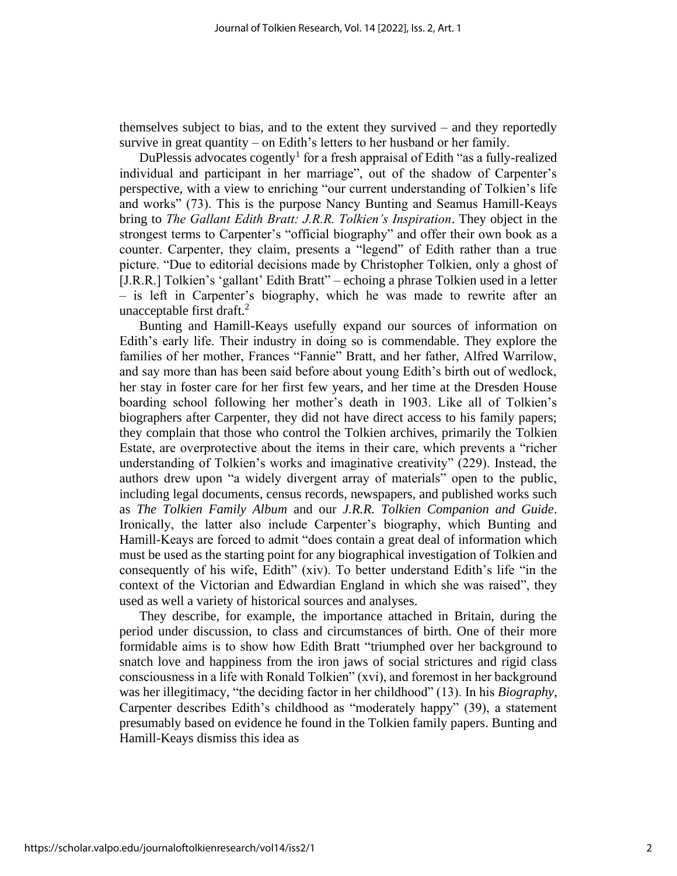themselves subject to bias, and to the extent they survived – and they reportedly survive in great quantity – on Edith's letters to her husband or her family.

DuPlessis advocates cogently<sup>1</sup> for a fresh appraisal of Edith "as a fully-realized individual and participant in her marriage", out of the shadow of Carpenter's perspective, with a view to enriching "our current understanding of Tolkien's life and works" (73). This is the purpose Nancy Bunting and Seamus Hamill-Keays bring to *The Gallant Edith Bratt: J.R.R. Tolkien's Inspiration*. They object in the strongest terms to Carpenter's "official biography" and offer their own book as a counter. Carpenter, they claim, presents a "legend" of Edith rather than a true picture. "Due to editorial decisions made by Christopher Tolkien, only a ghost of [J.R.R.] Tolkien's 'gallant' Edith Bratt" – echoing a phrase Tolkien used in a letter – is left in Carpenter's biography, which he was made to rewrite after an unacceptable first draft. $<sup>2</sup>$ </sup>

Bunting and Hamill-Keays usefully expand our sources of information on Edith's early life. Their industry in doing so is commendable. They explore the families of her mother, Frances "Fannie" Bratt, and her father, Alfred Warrilow, and say more than has been said before about young Edith's birth out of wedlock, her stay in foster care for her first few years, and her time at the Dresden House boarding school following her mother's death in 1903. Like all of Tolkien's biographers after Carpenter, they did not have direct access to his family papers; they complain that those who control the Tolkien archives, primarily the Tolkien Estate, are overprotective about the items in their care, which prevents a "richer understanding of Tolkien's works and imaginative creativity" (229). Instead, the authors drew upon "a widely divergent array of materials" open to the public, including legal documents, census records, newspapers, and published works such as *The Tolkien Family Album* and our *J.R.R. Tolkien Companion and Guide*. Ironically, the latter also include Carpenter's biography, which Bunting and Hamill-Keays are forced to admit "does contain a great deal of information which must be used as the starting point for any biographical investigation of Tolkien and consequently of his wife, Edith" (xiv). To better understand Edith's life "in the context of the Victorian and Edwardian England in which she was raised", they used as well a variety of historical sources and analyses.

They describe, for example, the importance attached in Britain, during the period under discussion, to class and circumstances of birth. One of their more formidable aims is to show how Edith Bratt "triumphed over her background to snatch love and happiness from the iron jaws of social strictures and rigid class consciousness in a life with Ronald Tolkien" (xvi), and foremost in her background was her illegitimacy, "the deciding factor in her childhood" (13). In his *Biography*, Carpenter describes Edith's childhood as "moderately happy" (39), a statement presumably based on evidence he found in the Tolkien family papers. Bunting and Hamill-Keays dismiss this idea as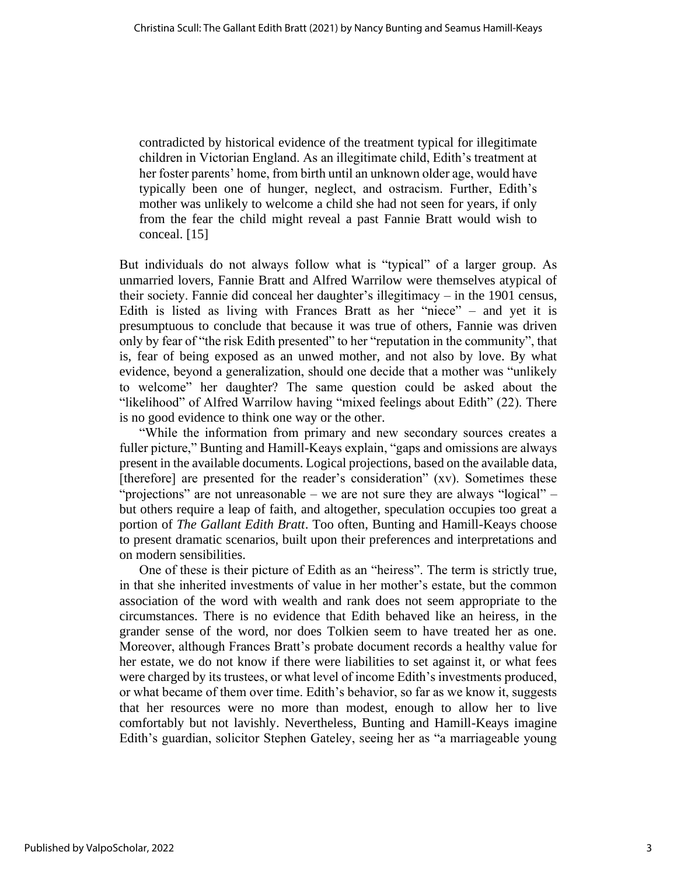contradicted by historical evidence of the treatment typical for illegitimate children in Victorian England. As an illegitimate child, Edith's treatment at her foster parents' home, from birth until an unknown older age, would have typically been one of hunger, neglect, and ostracism. Further, Edith's mother was unlikely to welcome a child she had not seen for years, if only from the fear the child might reveal a past Fannie Bratt would wish to conceal. [15]

But individuals do not always follow what is "typical" of a larger group. As unmarried lovers, Fannie Bratt and Alfred Warrilow were themselves atypical of their society. Fannie did conceal her daughter's illegitimacy – in the 1901 census, Edith is listed as living with Frances Bratt as her "niece" – and yet it is presumptuous to conclude that because it was true of others, Fannie was driven only by fear of "the risk Edith presented" to her "reputation in the community", that is, fear of being exposed as an unwed mother, and not also by love. By what evidence, beyond a generalization, should one decide that a mother was "unlikely to welcome" her daughter? The same question could be asked about the "likelihood" of Alfred Warrilow having "mixed feelings about Edith" (22). There is no good evidence to think one way or the other.

"While the information from primary and new secondary sources creates a fuller picture," Bunting and Hamill-Keays explain, "gaps and omissions are always present in the available documents. Logical projections, based on the available data, [therefore] are presented for the reader's consideration" (xv). Sometimes these "projections" are not unreasonable – we are not sure they are always "logical" – but others require a leap of faith, and altogether, speculation occupies too great a portion of *The Gallant Edith Bratt*. Too often, Bunting and Hamill-Keays choose to present dramatic scenarios, built upon their preferences and interpretations and on modern sensibilities.

One of these is their picture of Edith as an "heiress". The term is strictly true, in that she inherited investments of value in her mother's estate, but the common association of the word with wealth and rank does not seem appropriate to the circumstances. There is no evidence that Edith behaved like an heiress, in the grander sense of the word, nor does Tolkien seem to have treated her as one. Moreover, although Frances Bratt's probate document records a healthy value for her estate, we do not know if there were liabilities to set against it, or what fees were charged by its trustees, or what level of income Edith's investments produced, or what became of them over time. Edith's behavior, so far as we know it, suggests that her resources were no more than modest, enough to allow her to live comfortably but not lavishly. Nevertheless, Bunting and Hamill-Keays imagine Edith's guardian, solicitor Stephen Gateley, seeing her as "a marriageable young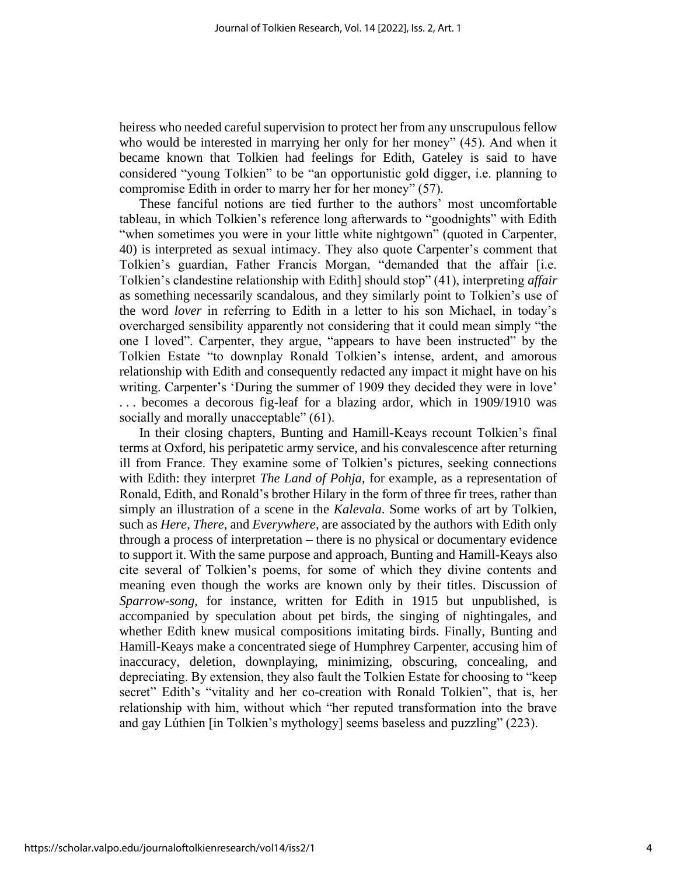heiress who needed careful supervision to protect her from any unscrupulous fellow who would be interested in marrying her only for her money" (45). And when it became known that Tolkien had feelings for Edith, Gateley is said to have considered "young Tolkien" to be "an opportunistic gold digger, i.e. planning to compromise Edith in order to marry her for her money" (57).

These fanciful notions are tied further to the authors' most uncomfortable tableau, in which Tolkien's reference long afterwards to "goodnights" with Edith "when sometimes you were in your little white nightgown" (quoted in Carpenter, 40) is interpreted as sexual intimacy. They also quote Carpenter's comment that Tolkien's guardian, Father Francis Morgan, "demanded that the affair [i.e. Tolkien's clandestine relationship with Edith] should stop" (41), interpreting *affair* as something necessarily scandalous, and they similarly point to Tolkien's use of the word *lover* in referring to Edith in a letter to his son Michael, in today's overcharged sensibility apparently not considering that it could mean simply "the one I loved". Carpenter, they argue, "appears to have been instructed" by the Tolkien Estate "to downplay Ronald Tolkien's intense, ardent, and amorous relationship with Edith and consequently redacted any impact it might have on his writing. Carpenter's 'During the summer of 1909 they decided they were in love' . . . becomes a decorous fig-leaf for a blazing ardor, which in 1909/1910 was socially and morally unacceptable" (61).

In their closing chapters, Bunting and Hamill-Keays recount Tolkien's final terms at Oxford, his peripatetic army service, and his convalescence after returning ill from France. They examine some of Tolkien's pictures, seeking connections with Edith: they interpret *The Land of Pohja*, for example, as a representation of Ronald, Edith, and Ronald's brother Hilary in the form of three fir trees, rather than simply an illustration of a scene in the *Kalevala*. Some works of art by Tolkien, such as *Here*, *There*, and *Everywhere*, are associated by the authors with Edith only through a process of interpretation – there is no physical or documentary evidence to support it. With the same purpose and approach, Bunting and Hamill-Keays also cite several of Tolkien's poems, for some of which they divine contents and meaning even though the works are known only by their titles. Discussion of *Sparrow-song*, for instance, written for Edith in 1915 but unpublished, is accompanied by speculation about pet birds, the singing of nightingales, and whether Edith knew musical compositions imitating birds. Finally, Bunting and Hamill-Keays make a concentrated siege of Humphrey Carpenter, accusing him of inaccuracy, deletion, downplaying, minimizing, obscuring, concealing, and depreciating. By extension, they also fault the Tolkien Estate for choosing to "keep secret" Edith's "vitality and her co-creation with Ronald Tolkien", that is, her relationship with him, without which "her reputed transformation into the brave and gay Lúthien [in Tolkien's mythology] seems baseless and puzzling" (223).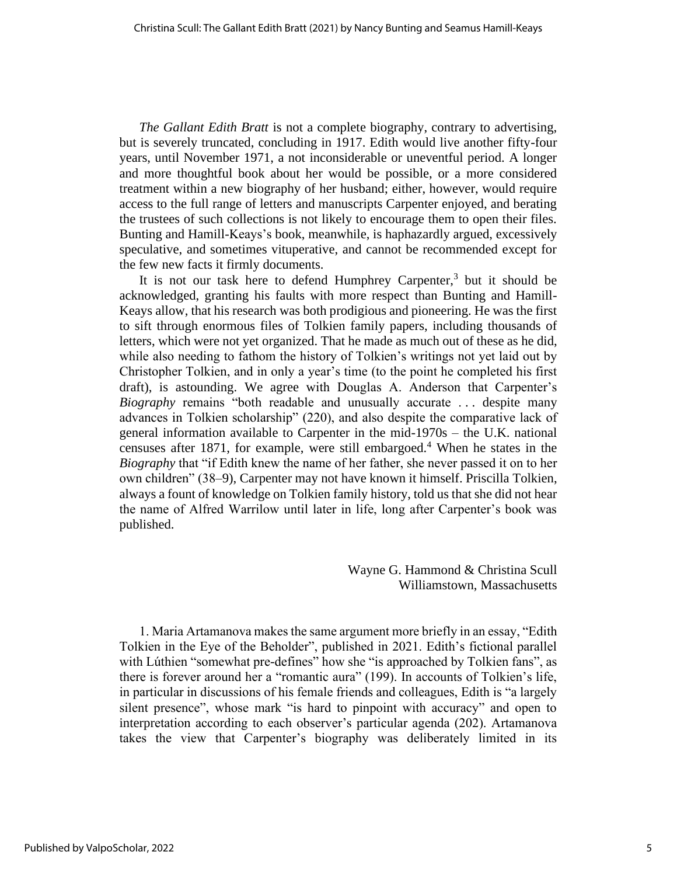*The Gallant Edith Bratt* is not a complete biography, contrary to advertising, but is severely truncated, concluding in 1917. Edith would live another fifty-four years, until November 1971, a not inconsiderable or uneventful period. A longer and more thoughtful book about her would be possible, or a more considered treatment within a new biography of her husband; either, however, would require access to the full range of letters and manuscripts Carpenter enjoyed, and berating the trustees of such collections is not likely to encourage them to open their files. Bunting and Hamill-Keays's book, meanwhile, is haphazardly argued, excessively speculative, and sometimes vituperative, and cannot be recommended except for the few new facts it firmly documents.

It is not our task here to defend Humphrey Carpenter,<sup>3</sup> but it should be acknowledged, granting his faults with more respect than Bunting and Hamill-Keays allow, that his research was both prodigious and pioneering. He was the first to sift through enormous files of Tolkien family papers, including thousands of letters, which were not yet organized. That he made as much out of these as he did, while also needing to fathom the history of Tolkien's writings not yet laid out by Christopher Tolkien, and in only a year's time (to the point he completed his first draft), is astounding. We agree with Douglas A. Anderson that Carpenter's *Biography* remains "both readable and unusually accurate . . . despite many advances in Tolkien scholarship" (220), and also despite the comparative lack of general information available to Carpenter in the mid-1970s – the U.K. national censuses after 1871, for example, were still embargoed.<sup>4</sup> When he states in the *Biography* that "if Edith knew the name of her father, she never passed it on to her own children" (38–9), Carpenter may not have known it himself. Priscilla Tolkien, always a fount of knowledge on Tolkien family history, told us that she did not hear the name of Alfred Warrilow until later in life, long after Carpenter's book was published.

> Wayne G. Hammond & Christina Scull Williamstown, Massachusetts

1. Maria Artamanova makes the same argument more briefly in an essay, "Edith Tolkien in the Eye of the Beholder", published in 2021. Edith's fictional parallel with Lúthien "somewhat pre-defines" how she "is approached by Tolkien fans", as there is forever around her a "romantic aura" (199). In accounts of Tolkien's life, in particular in discussions of his female friends and colleagues, Edith is "a largely silent presence", whose mark "is hard to pinpoint with accuracy" and open to interpretation according to each observer's particular agenda (202). Artamanova takes the view that Carpenter's biography was deliberately limited in its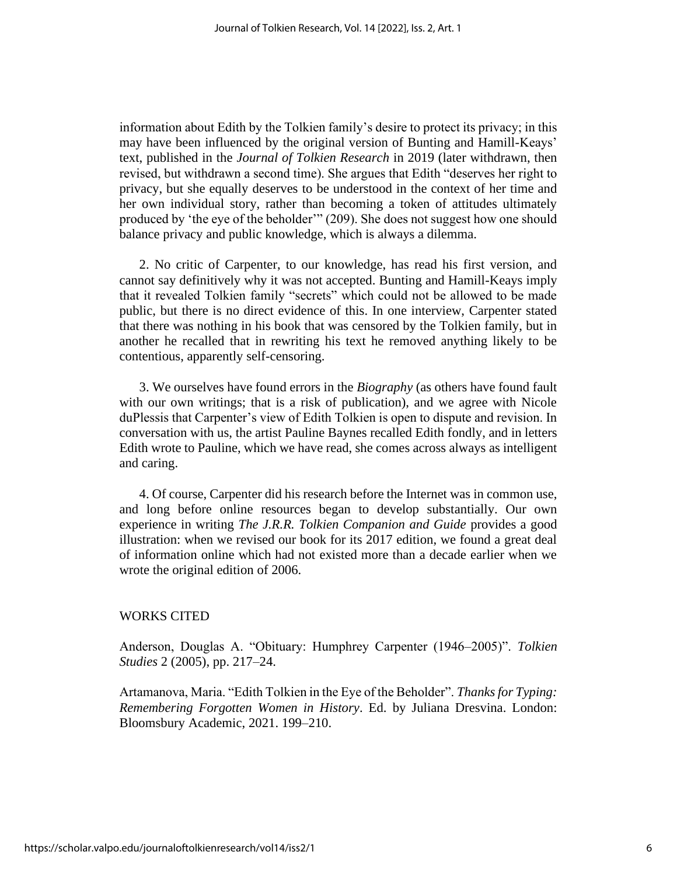information about Edith by the Tolkien family's desire to protect its privacy; in this may have been influenced by the original version of Bunting and Hamill-Keays' text, published in the *Journal of Tolkien Research* in 2019 (later withdrawn, then revised, but withdrawn a second time). She argues that Edith "deserves her right to privacy, but she equally deserves to be understood in the context of her time and her own individual story, rather than becoming a token of attitudes ultimately produced by 'the eye of the beholder'" (209). She does not suggest how one should balance privacy and public knowledge, which is always a dilemma.

2. No critic of Carpenter, to our knowledge, has read his first version, and cannot say definitively why it was not accepted. Bunting and Hamill-Keays imply that it revealed Tolkien family "secrets" which could not be allowed to be made public, but there is no direct evidence of this. In one interview, Carpenter stated that there was nothing in his book that was censored by the Tolkien family, but in another he recalled that in rewriting his text he removed anything likely to be contentious, apparently self-censoring.

3. We ourselves have found errors in the *Biography* (as others have found fault with our own writings; that is a risk of publication), and we agree with Nicole duPlessis that Carpenter's view of Edith Tolkien is open to dispute and revision. In conversation with us, the artist Pauline Baynes recalled Edith fondly, and in letters Edith wrote to Pauline, which we have read, she comes across always as intelligent and caring.

4. Of course, Carpenter did his research before the Internet was in common use, and long before online resources began to develop substantially. Our own experience in writing *The J.R.R. Tolkien Companion and Guide* provides a good illustration: when we revised our book for its 2017 edition, we found a great deal of information online which had not existed more than a decade earlier when we wrote the original edition of 2006.

## WORKS CITED

Anderson, Douglas A. "Obituary: Humphrey Carpenter (1946–2005)". *Tolkien Studies* 2 (2005), pp. 217–24.

Artamanova, Maria. "Edith Tolkien in the Eye of the Beholder". *Thanks for Typing: Remembering Forgotten Women in History*. Ed. by Juliana Dresvina. London: Bloomsbury Academic, 2021. 199–210.